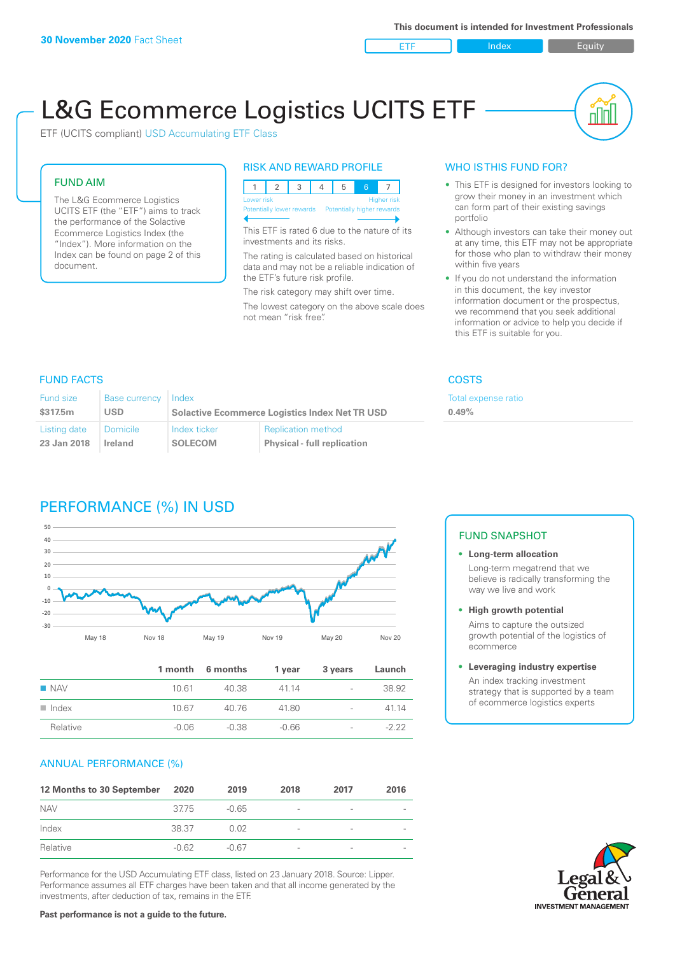ETF Index Buity

nn

# L&G Ecommerce Logistics UCITS ETF

ETF (UCITS compliant) USD Accumulating ETF Class

#### FUND AIM

The L&G Ecommerce Logistics UCITS ETF (the "ETF") aims to track the performance of the Solactive Ecommerce Logistics Index (the "Index"). More information on the Index can be found on page 2 of this document.

### RISK AND REWARD PROFILE



This ETF is rated 6 due to the nature of its investments and its risks.

The rating is calculated based on historical data and may not be a reliable indication of the ETF's future risk profile.

The risk category may shift over time. The lowest category on the above scale does not mean "risk free".

### WHO IS THIS FUND FOR?

- This ETF is designed for investors looking to grow their money in an investment which can form part of their existing savings portfolio
- Although investors can take their money out at any time, this ETF may not be appropriate for those who plan to withdraw their money within five years
- If you do not understand the information in this document, the key investor information document or the prospectus, we recommend that you seek additional information or advice to help you decide if this ETF is suitable for you.

**0.49%**

Total expense ratio

#### FUND FACTS COSTS

| Fund size<br>\$317.5m | Base currency Index<br>USD | <b>Solactive Ecommerce Logistics Index Net TR USD</b> |                                    |  |
|-----------------------|----------------------------|-------------------------------------------------------|------------------------------------|--|
| Listing date          | Domicile                   | Index ticker                                          | <b>Replication method</b>          |  |
| 23 Jan 2018           | <b>Ireland</b>             | <b>SOLECOM</b>                                        | <b>Physical - full replication</b> |  |

### PERFORMANCE (%) IN USD



|                      |         | 1 month 6 months | 1 year  | 3 years                  | Launch  |
|----------------------|---------|------------------|---------|--------------------------|---------|
| <b>NAV</b>           | 10.61   | 40.38            | 4114    | $\sim$                   | 38.92   |
| $\blacksquare$ Index | 10.67   | 40.76            | 41.80   | $\overline{a}$           | 41 14   |
| Relative             | $-0.06$ | $-0.38$          | $-0.66$ | $\overline{\phantom{a}}$ | $-2.22$ |

### ANNUAL PERFORMANCE (%)

| 12 Months to 30 September | 2020    | 2019    | 2018                     | 2017                     | 2016 |
|---------------------------|---------|---------|--------------------------|--------------------------|------|
| <b>NAV</b>                | 3775    | $-0.65$ | $\overline{\phantom{a}}$ | -                        |      |
| Index                     | 38.37   | 0.02    | $\qquad \qquad$          | -                        |      |
| Relative                  | $-0.62$ | $-0.67$ | $\sim$                   | $\overline{\phantom{a}}$ |      |

Performance for the USD Accumulating ETF class, listed on 23 January 2018. Source: Lipper. Performance assumes all ETF charges have been taken and that all income generated by the investments, after deduction of tax, remains in the ETF.

#### FUND SNAPSHOT

- **• Long-term allocation** Long-term megatrend that we believe is radically transforming the way we live and work
- **• High growth potential**

Aims to capture the outsized growth potential of the logistics of ecommerce

#### **• Leveraging industry expertise**

An index tracking investment strategy that is supported by a team of ecommerce logistics experts

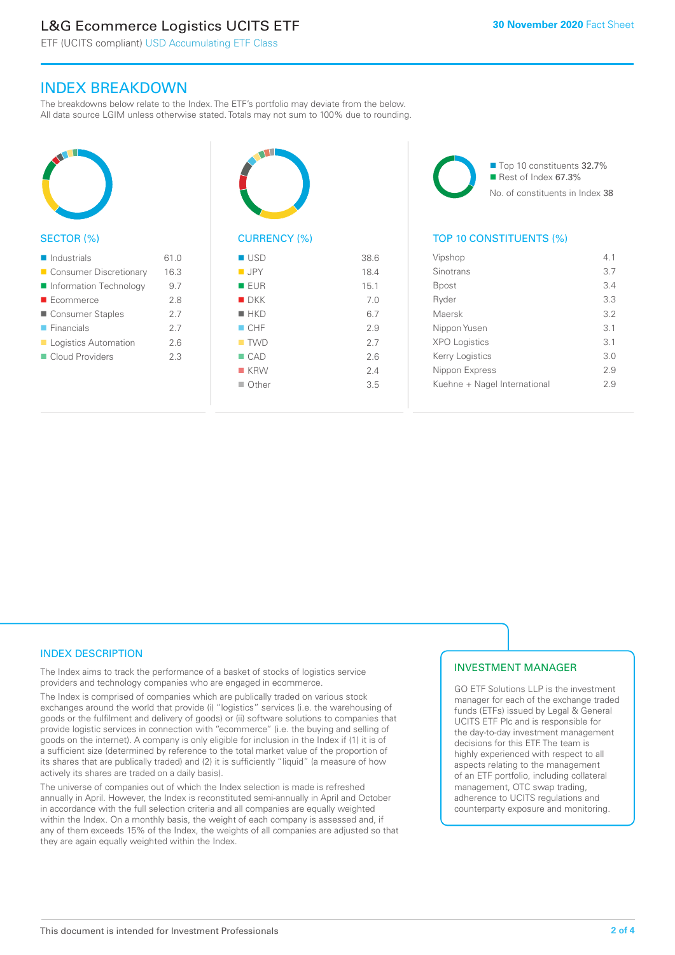## L&G Ecommerce Logistics UCITS ETF

ETF (UCITS compliant) USD Accumulating ETF Class

### INDEX BREAKDOWN

The breakdowns below relate to the Index. The ETF's portfolio may deviate from the below. All data source LGIM unless otherwise stated. Totals may not sum to 100% due to rounding.



#### SECTOR (%)

| $\blacksquare$ Industrials | 61.0 |
|----------------------------|------|
| ■ Consumer Discretionary   | 16.3 |
| Information Technology     | 9.7  |
| $\blacksquare$ Ecommerce   | 2.8  |
| Consumer Staples           | 2.7  |
| $\blacksquare$ Financials  | 2.7  |
| Logistics Automation       | 2.6  |
| Cloud Providers            | 23   |
|                            |      |



### CURRENCY (%)

| <b>USD</b>         | 38.6 |
|--------------------|------|
| $\blacksquare$ JPY | 18.4 |
| <b>EUR</b>         | 15.1 |
| $\blacksquare$ DKK | 7.0  |
| $H$ HKD            | 6.7  |
| $\blacksquare$ CHF | 2.9  |
| $\blacksquare$ TWD | 2.7  |
| $\Box$ CAD         | 2.6  |
| $K$ KRW            | 2.4  |
| $\Box$ Other       | 3.5  |
|                    |      |

■ Top 10 constituents 32.7% Rest of Index 67.3% No. of constituents in Index 38

### TOP 10 CONSTITUENTS (%)

| Vipshop                      | 41  |
|------------------------------|-----|
| Sinotrans                    | 3.7 |
| Bpost                        | 3.4 |
| Ryder                        | 3.3 |
| Maersk                       | 3.2 |
| Nippon Yusen                 | 3.1 |
| <b>XPO Logistics</b>         | 3.1 |
| Kerry Logistics              | 3.0 |
| Nippon Express               | 29  |
| Kuehne + Nagel International | 29  |
|                              |     |

### INDEX DESCRIPTION

The Index aims to track the performance of a basket of stocks of logistics service providers and technology companies who are engaged in ecommerce.

The Index is comprised of companies which are publically traded on various stock exchanges around the world that provide (i) "logistics" services (i.e. the warehousing of goods or the fulfilment and delivery of goods) or (ii) software solutions to companies that provide logistic services in connection with "ecommerce" (i.e. the buying and selling of goods on the internet). A company is only eligible for inclusion in the Index if (1) it is of a sufficient size (determined by reference to the total market value of the proportion of its shares that are publically traded) and (2) it is sufficiently "liquid" (a measure of how actively its shares are traded on a daily basis).

The universe of companies out of which the Index selection is made is refreshed annually in April. However, the Index is reconstituted semi-annually in April and October in accordance with the full selection criteria and all companies are equally weighted within the Index. On a monthly basis, the weight of each company is assessed and, if any of them exceeds 15% of the Index, the weights of all companies are adjusted so that they are again equally weighted within the Index.

### INVESTMENT MANAGER

GO ETF Solutions LLP is the investment manager for each of the exchange traded funds (ETFs) issued by Legal & General UCITS ETF Plc and is responsible for the day-to-day investment management decisions for this ETF. The team is highly experienced with respect to all aspects relating to the management of an ETF portfolio, including collateral management, OTC swap trading, adherence to UCITS regulations and counterparty exposure and monitoring.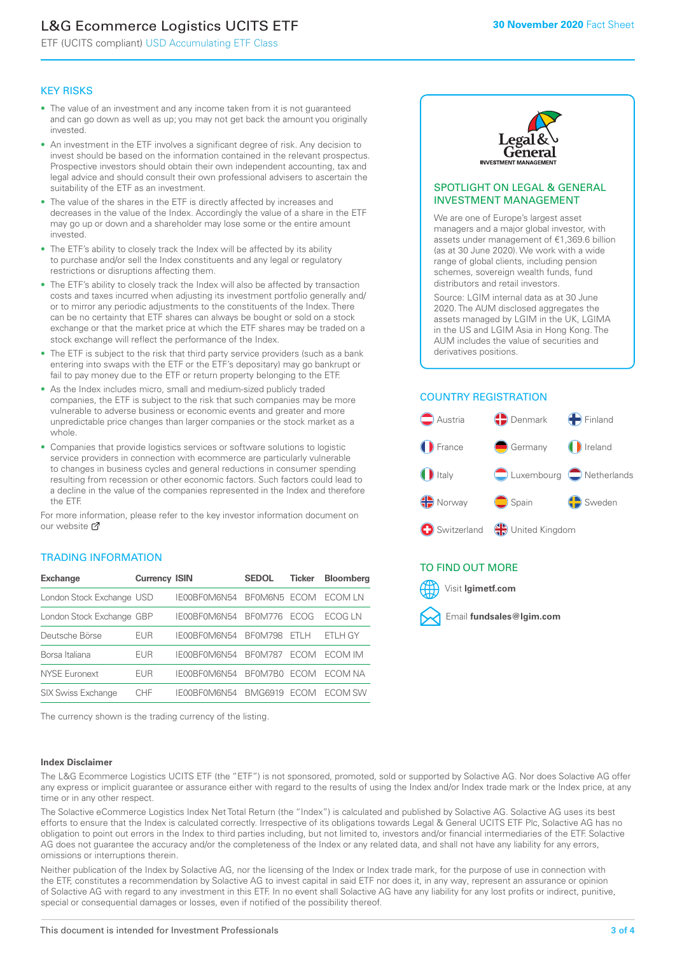## L&G Ecommerce Logistics UCITS ETF

ETF (UCITS compliant) USD Accumulating ETF Class

### KEY RISKS

- The value of an investment and any income taken from it is not guaranteed and can go down as well as up; you may not get back the amount you originally invested.
- An investment in the ETF involves a significant degree of risk. Any decision to invest should be based on the information contained in the relevant prospectus. Prospective investors should obtain their own independent accounting, tax and legal advice and should consult their own professional advisers to ascertain the suitability of the ETF as an investment.
- The value of the shares in the ETF is directly affected by increases and decreases in the value of the Index. Accordingly the value of a share in the ETF may go up or down and a shareholder may lose some or the entire amount invested.
- The ETF's ability to closely track the Index will be affected by its ability to purchase and/or sell the Index constituents and any legal or regulatory restrictions or disruptions affecting them.
- The ETF's ability to closely track the Index will also be affected by transaction costs and taxes incurred when adjusting its investment portfolio generally and/ or to mirror any periodic adjustments to the constituents of the Index. There can be no certainty that ETF shares can always be bought or sold on a stock exchange or that the market price at which the ETF shares may be traded on a stock exchange will reflect the performance of the Index.
- The ETF is subject to the risk that third party service providers (such as a bank entering into swaps with the ETF or the ETF's depositary) may go bankrupt or fail to pay money due to the ETF or return property belonging to the ETF.
- As the Index includes micro, small and medium-sized publicly traded companies, the ETF is subject to the risk that such companies may be more vulnerable to adverse business or economic events and greater and more unpredictable price changes than larger companies or the stock market as a whole.
- Companies that provide logistics services or software solutions to logistic service providers in connection with ecommerce are particularly vulnerable to changes in business cycles and general reductions in consumer spending resulting from recession or other economic factors. Such factors could lead to a decline in the value of the companies represented in the Index and therefore the ETF.

For more in[form](https://www.lgimetf.com/)ation, please refer to the key investor information document on our website Ø

### TRADING INFORMATION

| <b>Exchange</b>           | <b>Currency ISIN</b> |              | <b>SEDOL</b>   | <b>Ticker</b> | <b>Bloomberg</b> |
|---------------------------|----------------------|--------------|----------------|---------------|------------------|
| London Stock Exchange USD |                      | IE00BF0M6N54 | BEOM6N5 FCOM   |               | ECOM I N         |
| London Stock Exchange GBP |                      | IE00BF0M6N54 | BF0M776        | <b>FCOG</b>   | FCOG I N         |
| Deutsche Börse            | EUR                  | IE00BF0M6N54 | <b>BF0M798</b> | FTI H         | FTI H GY         |
| Borsa Italiana            | <b>EUR</b>           | IF00BF0M6N54 | <b>BF0M787</b> | <b>FCOM</b>   | ECOM IM          |
| <b>NYSE Euronext</b>      | <b>EUR</b>           | IE00BF0M6N54 | BF0M7B0        | <b>FCOM</b>   | FCOM NA          |
| <b>SIX Swiss Exchange</b> | CHE                  | IF00BF0M6N54 | <b>BMG6919</b> | <b>FCOM</b>   | ECOM SW          |

The currency shown is the trading currency of the listing.

### **Index Disclaimer**



#### SPOTLIGHT ON LEGAL & GENERAL INVESTMENT MANAGEMENT

We are one of Europe's largest asset managers and a major global investor, with assets under management of €1,369.6 billion (as at 30 June 2020). We work with a wide range of global clients, including pension schemes, sovereign wealth funds, fund distributors and retail investors.

Source: LGIM internal data as at 30 June 2020. The AUM disclosed aggregates the assets managed by LGIM in the UK, LGIMA in the US and LGIM Asia in Hong Kong. The AUM includes the value of securities and derivatives positions.

### COUNTRY REGISTRATION



### TO FIND OUT MORE



The L&G Ecommerce Logistics UCITS ETF (the "ETF") is not sponsored, promoted, sold or supported by Solactive AG. Nor does Solactive AG offer any express or implicit guarantee or assurance either with regard to the results of using the Index and/or Index trade mark or the Index price, at any time or in any other respect.

The Solactive eCommerce Logistics Index Net Total Return (the "Index") is calculated and published by Solactive AG. Solactive AG uses its best efforts to ensure that the Index is calculated correctly. Irrespective of its obligations towards Legal & General UCITS ETF Plc, Solactive AG has no obligation to point out errors in the Index to third parties including, but not limited to, investors and/or financial intermediaries of the ETF. Solactive AG does not guarantee the accuracy and/or the completeness of the Index or any related data, and shall not have any liability for any errors, omissions or interruptions therein.

Neither publication of the Index by Solactive AG, nor the licensing of the Index or Index trade mark, for the purpose of use in connection with the ETF, constitutes a recommendation by Solactive AG to invest capital in said ETF nor does it, in any way, represent an assurance or opinion of Solactive AG with regard to any investment in this ETF. In no event shall Solactive AG have any liability for any lost profits or indirect, punitive, special or consequential damages or losses, even if notified of the possibility thereof.